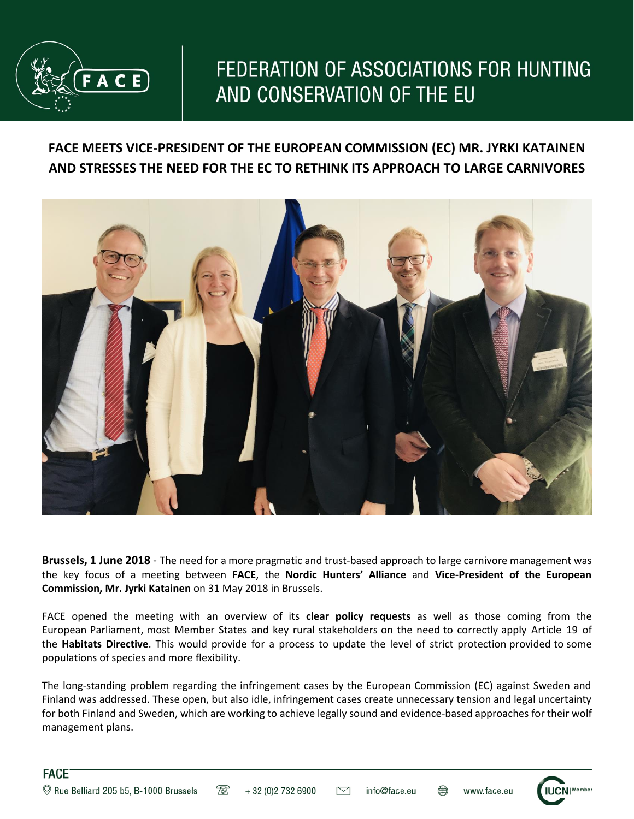

## FEDERATION OF ASSOCIATIONS FOR HUNTING AND CONSERVATION OF THE EU

## **FACE MEETS VICE-PRESIDENT OF THE EUROPEAN COMMISSION (EC) MR. JYRKI KATAINEN AND STRESSES THE NEED FOR THE EC TO RETHINK ITS APPROACH TO LARGE CARNIVORES**



**Brussels, 1 June 2018** - The need for a more pragmatic and trust-based approach to large carnivore management was the key focus of a meeting between **FACE**, the **Nordic Hunters' Alliance** and **Vice-President of the European Commission, Mr. Jyrki Katainen** on 31 May 2018 in Brussels.

FACE opened the meeting with an overview of its **clear policy requests** as well as those coming from the European Parliament, most Member States and key rural stakeholders on the need to correctly apply Article 19 of the **Habitats Directive**. This would provide for a process to update the level of strict protection provided to some populations of species and more flexibility.

The long-standing problem regarding the infringement cases by the European Commission (EC) against Sweden and Finland was addressed. These open, but also idle, infringement cases create unnecessary tension and legal uncertainty for both Finland and Sweden, which are working to achieve legally sound and evidence-based approaches for their wolf management plans.